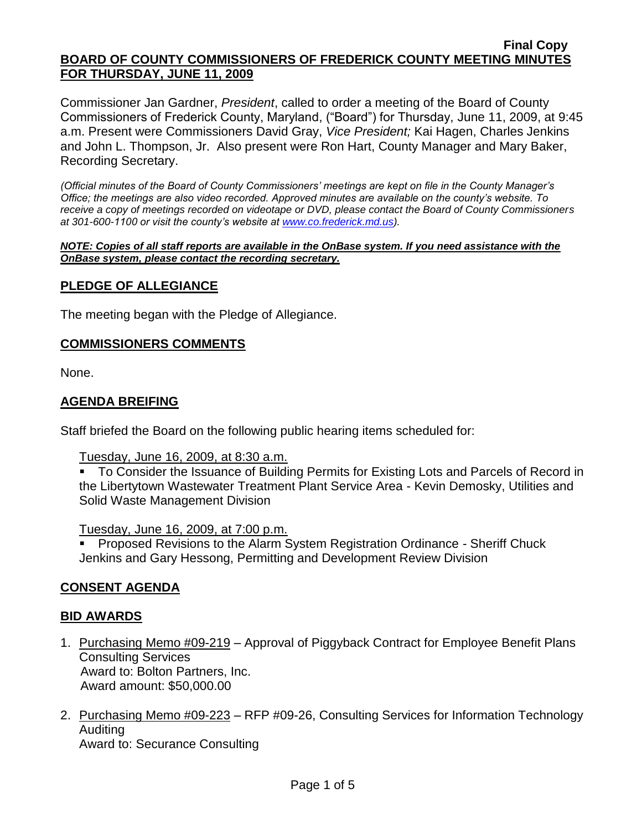#### **Final Copy BOARD OF COUNTY COMMISSIONERS OF FREDERICK COUNTY MEETING MINUTES FOR THURSDAY, JUNE 11, 2009**

Commissioner Jan Gardner, *President*, called to order a meeting of the Board of County Commissioners of Frederick County, Maryland, ("Board") for Thursday, June 11, 2009, at 9:45 a.m. Present were Commissioners David Gray, *Vice President;* Kai Hagen, Charles Jenkins and John L. Thompson, Jr. Also present were Ron Hart, County Manager and Mary Baker, Recording Secretary.

*(Official minutes of the Board of County Commissioners' meetings are kept on file in the County Manager's Office; the meetings are also video recorded. Approved minutes are available on the county's website. To receive a copy of meetings recorded on videotape or DVD, please contact the Board of County Commissioners at 301-600-1100 or visit the county's website at [www.co.frederick.md.us\)](http://www.co.frederick.md.us/).*

*NOTE: Copies of all staff reports are available in the OnBase system. If you need assistance with the OnBase system, please contact the recording secretary.*

#### **PLEDGE OF ALLEGIANCE**

The meeting began with the Pledge of Allegiance.

#### **COMMISSIONERS COMMENTS**

None.

#### **AGENDA BREIFING**

Staff briefed the Board on the following public hearing items scheduled for:

Tuesday, June 16, 2009, at 8:30 a.m.

• To Consider the Issuance of Building Permits for Existing Lots and Parcels of Record in the Libertytown Wastewater Treatment Plant Service Area - Kevin Demosky, Utilities and Solid Waste Management Division

Tuesday, June 16, 2009, at 7:00 p.m.

**Proposed Revisions to the Alarm System Registration Ordinance - Sheriff Chuck** Jenkins and Gary Hessong, Permitting and Development Review Division

#### **CONSENT AGENDA**

#### **BID AWARDS**

- 1. Purchasing Memo #09-219 Approval of Piggyback Contract for Employee Benefit Plans Consulting Services Award to: Bolton Partners, Inc. Award amount: \$50,000.00
- 2. Purchasing Memo #09-223 RFP #09-26, Consulting Services for Information Technology Auditing

Award to: Securance Consulting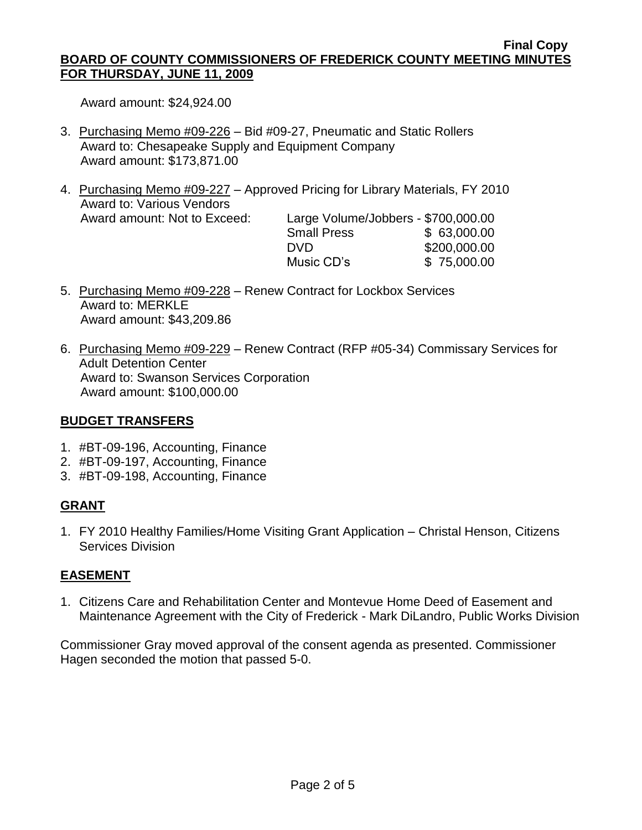#### **Final Copy BOARD OF COUNTY COMMISSIONERS OF FREDERICK COUNTY MEETING MINUTES FOR THURSDAY, JUNE 11, 2009**

Award amount: \$24,924.00

- 3. Purchasing Memo #09-226 Bid #09-27, Pneumatic and Static Rollers Award to: Chesapeake Supply and Equipment Company Award amount: \$173,871.00
- 4. Purchasing Memo #09-227 Approved Pricing for Library Materials, FY 2010 Award to: Various Vendors Award amount: Not to Exceed: Large Volume/Jobbers - \$700,000.00

| Large volume/Jobbers - wroo.ooo.oo |              |
|------------------------------------|--------------|
| <b>Small Press</b>                 | \$63,000.00  |
| DVD.                               | \$200,000.00 |
| Music CD's                         | \$75,000.00  |
|                                    |              |

- 5. Purchasing Memo #09-228 Renew Contract for Lockbox Services Award to: MERKLE Award amount: \$43,209.86
- 6. Purchasing Memo #09-229 Renew Contract (RFP #05-34) Commissary Services for Adult Detention Center Award to: Swanson Services Corporation Award amount: \$100,000.00

# **BUDGET TRANSFERS**

- 1. #BT-09-196, Accounting, Finance
- 2. #BT-09-197, Accounting, Finance
- 3. #BT-09-198, Accounting, Finance

# **GRANT**

1. FY 2010 Healthy Families/Home Visiting Grant Application – Christal Henson, Citizens Services Division

# **EASEMENT**

1. Citizens Care and Rehabilitation Center and Montevue Home Deed of Easement and Maintenance Agreement with the City of Frederick - Mark DiLandro, Public Works Division

Commissioner Gray moved approval of the consent agenda as presented. Commissioner Hagen seconded the motion that passed 5-0.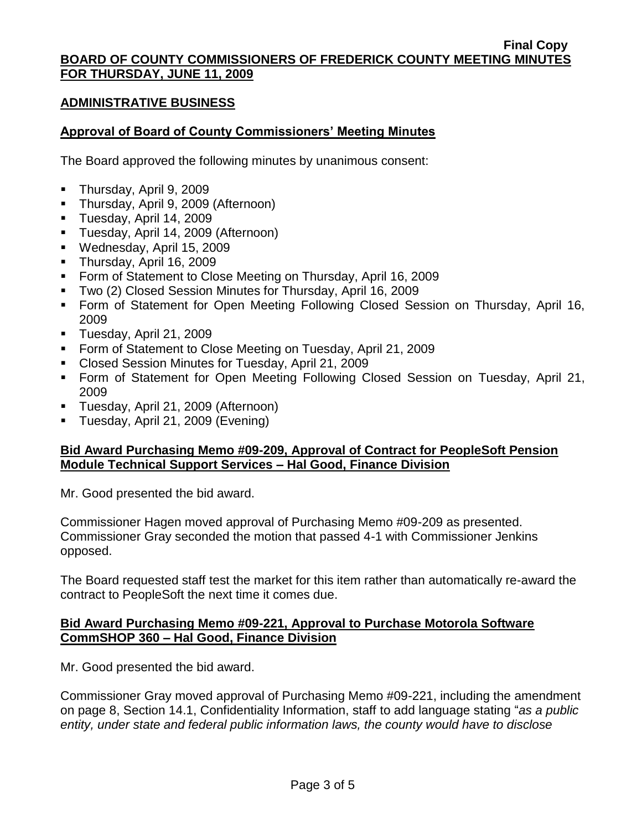#### **Final Copy BOARD OF COUNTY COMMISSIONERS OF FREDERICK COUNTY MEETING MINUTES FOR THURSDAY, JUNE 11, 2009**

#### **ADMINISTRATIVE BUSINESS**

#### **Approval of Board of County Commissioners' Meeting Minutes**

The Board approved the following minutes by unanimous consent:

- **Thursday, April 9, 2009**
- **Thursday, April 9, 2009 (Afternoon)**
- Tuesday, April 14, 2009
- **Tuesday, April 14, 2009 (Afternoon)**
- Wednesday, April 15, 2009
- Thursday, April 16, 2009
- **Form of Statement to Close Meeting on Thursday, April 16, 2009**
- Two (2) Closed Session Minutes for Thursday, April 16, 2009
- Form of Statement for Open Meeting Following Closed Session on Thursday, April 16, 2009
- **Tuesday, April 21, 2009**
- **Form of Statement to Close Meeting on Tuesday, April 21, 2009**
- Closed Session Minutes for Tuesday, April 21, 2009
- Form of Statement for Open Meeting Following Closed Session on Tuesday, April 21, 2009
- Tuesday, April 21, 2009 (Afternoon)
- Tuesday, April 21, 2009 (Evening)

## **Bid Award Purchasing Memo #09-209, Approval of Contract for PeopleSoft Pension Module Technical Support Services – Hal Good, Finance Division**

Mr. Good presented the bid award.

Commissioner Hagen moved approval of Purchasing Memo #09-209 as presented. Commissioner Gray seconded the motion that passed 4-1 with Commissioner Jenkins opposed.

The Board requested staff test the market for this item rather than automatically re-award the contract to PeopleSoft the next time it comes due.

#### **Bid Award Purchasing Memo #09-221, Approval to Purchase Motorola Software CommSHOP 360 – Hal Good, Finance Division**

Mr. Good presented the bid award.

Commissioner Gray moved approval of Purchasing Memo #09-221, including the amendment on page 8, Section 14.1, Confidentiality Information, staff to add language stating "*as a public entity, under state and federal public information laws, the county would have to disclose*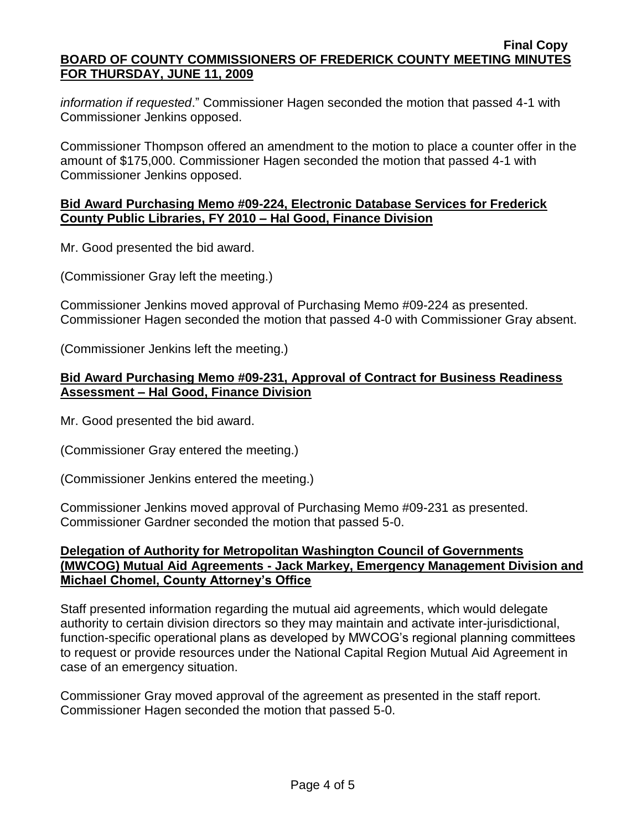*information if requested*." Commissioner Hagen seconded the motion that passed 4-1 with Commissioner Jenkins opposed.

Commissioner Thompson offered an amendment to the motion to place a counter offer in the amount of \$175,000. Commissioner Hagen seconded the motion that passed 4-1 with Commissioner Jenkins opposed.

#### **Bid Award Purchasing Memo #09-224, Electronic Database Services for Frederick County Public Libraries, FY 2010 – Hal Good, Finance Division**

Mr. Good presented the bid award.

(Commissioner Gray left the meeting.)

Commissioner Jenkins moved approval of Purchasing Memo #09-224 as presented. Commissioner Hagen seconded the motion that passed 4-0 with Commissioner Gray absent.

(Commissioner Jenkins left the meeting.)

## **Bid Award Purchasing Memo #09-231, Approval of Contract for Business Readiness Assessment – Hal Good, Finance Division**

Mr. Good presented the bid award.

(Commissioner Gray entered the meeting.)

(Commissioner Jenkins entered the meeting.)

Commissioner Jenkins moved approval of Purchasing Memo #09-231 as presented. Commissioner Gardner seconded the motion that passed 5-0.

## **Delegation of Authority for Metropolitan Washington Council of Governments (MWCOG) Mutual Aid Agreements - Jack Markey, Emergency Management Division and Michael Chomel, County Attorney's Office**

Staff presented information regarding the mutual aid agreements, which would delegate authority to certain division directors so they may maintain and activate inter-jurisdictional, function-specific operational plans as developed by MWCOG's regional planning committees to request or provide resources under the National Capital Region Mutual Aid Agreement in case of an emergency situation.

Commissioner Gray moved approval of the agreement as presented in the staff report. Commissioner Hagen seconded the motion that passed 5-0.